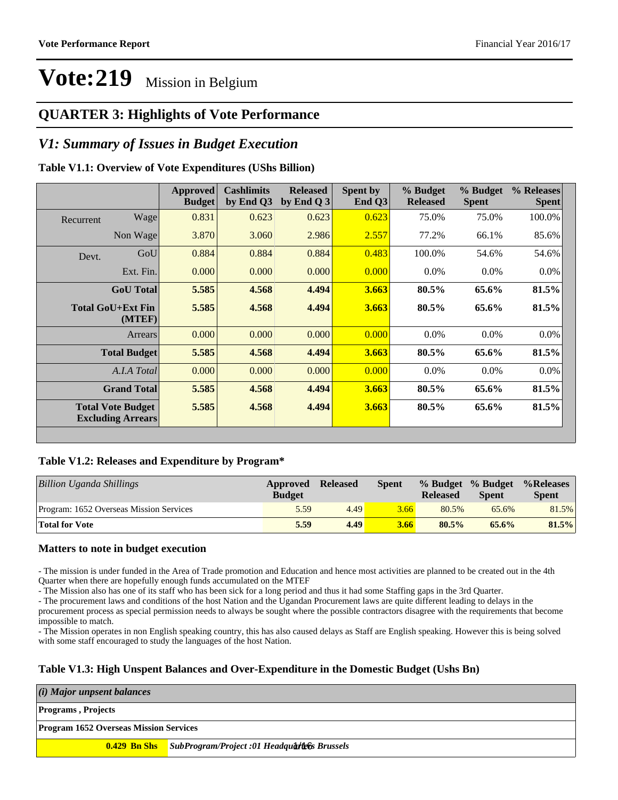### **QUARTER 3: Highlights of Vote Performance**

### *V1: Summary of Issues in Budget Execution*

#### **Table V1.1: Overview of Vote Expenditures (UShs Billion)**

|           |                                                      | <b>Approved</b><br><b>Budget</b> | <b>Cashlimits</b><br>by End Q3 | <b>Released</b><br>by End Q $3$ | Spent by<br>End Q3 | % Budget<br><b>Released</b> | % Budget<br><b>Spent</b> | % Releases<br><b>Spent</b> |
|-----------|------------------------------------------------------|----------------------------------|--------------------------------|---------------------------------|--------------------|-----------------------------|--------------------------|----------------------------|
| Recurrent | Wage                                                 | 0.831                            | 0.623                          | 0.623                           | 0.623              | 75.0%                       | 75.0%                    | 100.0%                     |
|           | Non Wage                                             | 3.870                            | 3.060                          | 2.986                           | 2.557              | 77.2%                       | 66.1%                    | 85.6%                      |
| Devt.     | GoU                                                  | 0.884                            | 0.884                          | 0.884                           | 0.483              | 100.0%                      | 54.6%                    | 54.6%                      |
|           | Ext. Fin.                                            | 0.000                            | 0.000                          | 0.000                           | 0.000              | $0.0\%$                     | $0.0\%$                  | $0.0\%$                    |
|           | <b>GoU</b> Total                                     | 5.585                            | 4.568                          | 4.494                           | 3.663              | 80.5%                       | 65.6%                    | 81.5%                      |
|           | Total GoU+Ext Fin<br>(MTEF)                          | 5.585                            | 4.568                          | 4.494                           | 3.663              | 80.5%                       | 65.6%                    | 81.5%                      |
|           | Arrears                                              | 0.000                            | 0.000                          | 0.000                           | 0.000              | $0.0\%$                     | $0.0\%$                  | $0.0\%$                    |
|           | <b>Total Budget</b>                                  | 5.585                            | 4.568                          | 4.494                           | 3.663              | 80.5%                       | 65.6%                    | 81.5%                      |
|           | A.I.A Total                                          | 0.000                            | 0.000                          | 0.000                           | 0.000              | $0.0\%$                     | $0.0\%$                  | $0.0\%$                    |
|           | <b>Grand Total</b>                                   | 5.585                            | 4.568                          | 4.494                           | 3.663              | 80.5%                       | 65.6%                    | 81.5%                      |
|           | <b>Total Vote Budget</b><br><b>Excluding Arrears</b> | 5.585                            | 4.568                          | 4.494                           | 3.663              | 80.5%                       | 65.6%                    | 81.5%                      |

#### **Table V1.2: Releases and Expenditure by Program\***

| Billion Uganda Shillings                | Approved<br><b>Budget</b> | <b>Released</b> | <b>Spent</b> | % Budget % Budget<br><b>Released</b> | <b>Spent</b> | %Releases<br><b>Spent</b> |
|-----------------------------------------|---------------------------|-----------------|--------------|--------------------------------------|--------------|---------------------------|
| Program: 1652 Overseas Mission Services | 5.59                      | 4.49            | 3.66         | 80.5%                                | 65.6%        | 81.5%                     |
| <b>Total for Vote</b>                   | 5.59                      | 4.49            | 3.66         | $80.5\%$                             | 65.6%        | 81.5%                     |

#### **Matters to note in budget execution**

- The mission is under funded in the Area of Trade promotion and Education and hence most activities are planned to be created out in the 4th Quarter when there are hopefully enough funds accumulated on the MTEF

- The Mission also has one of its staff who has been sick for a long period and thus it had some Staffing gaps in the 3rd Quarter.

- The procurement laws and conditions of the host Nation and the Ugandan Procurement laws are quite different leading to delays in the

procurement process as special permission needs to always be sought where the possible contractors disagree with the requirements that become impossible to match.

- The Mission operates in non English speaking country, this has also caused delays as Staff are English speaking. However this is being solved with some staff encouraged to study the languages of the host Nation.

#### **Table V1.3: High Unspent Balances and Over-Expenditure in the Domestic Budget (Ushs Bn)**

*(i) Major unpsent balances*

**Programs , Projects**

#### **Program 1652 Overseas Mission Services**

**0.429 Bn Shs** *SubProgram/Project :01 Headquarters Brussels* 1/16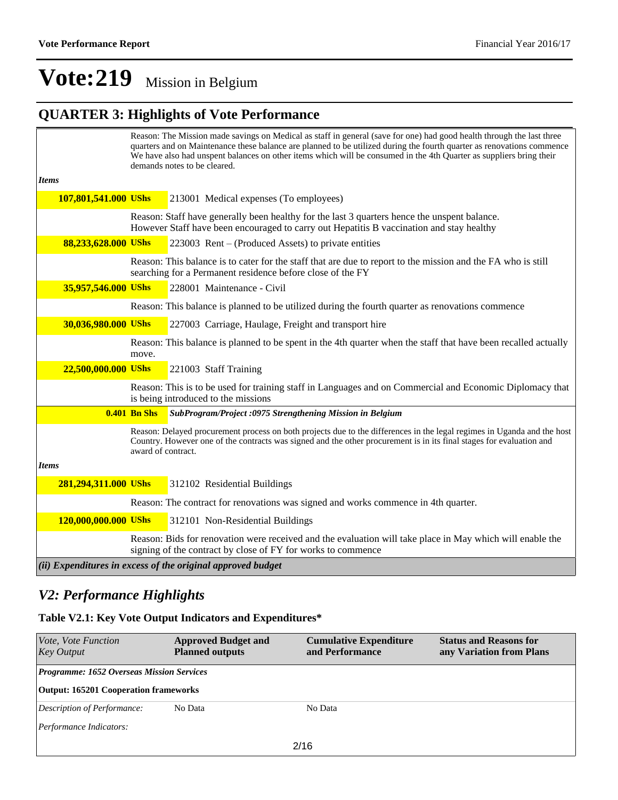## **QUARTER 3: Highlights of Vote Performance**

|                      |                     | Reason: The Mission made savings on Medical as staff in general (save for one) had good health through the last three<br>quarters and on Maintenance these balance are planned to be utilized during the fourth quarter as renovations commence<br>We have also had unspent balances on other items which will be consumed in the 4th Quarter as suppliers bring their<br>demands notes to be cleared. |
|----------------------|---------------------|--------------------------------------------------------------------------------------------------------------------------------------------------------------------------------------------------------------------------------------------------------------------------------------------------------------------------------------------------------------------------------------------------------|
| <b>Items</b>         |                     |                                                                                                                                                                                                                                                                                                                                                                                                        |
| 107,801,541.000 UShs |                     | 213001 Medical expenses (To employees)                                                                                                                                                                                                                                                                                                                                                                 |
|                      |                     | Reason: Staff have generally been healthy for the last 3 quarters hence the unspent balance.<br>However Staff have been encouraged to carry out Hepatitis B vaccination and stay healthy                                                                                                                                                                                                               |
| 88,233,628.000 UShs  |                     | 223003 Rent – (Produced Assets) to private entities                                                                                                                                                                                                                                                                                                                                                    |
|                      |                     | Reason: This balance is to cater for the staff that are due to report to the mission and the FA who is still<br>searching for a Permanent residence before close of the FY                                                                                                                                                                                                                             |
| 35,957,546.000 UShs  |                     | 228001 Maintenance - Civil                                                                                                                                                                                                                                                                                                                                                                             |
|                      |                     | Reason: This balance is planned to be utilized during the fourth quarter as renovations commence                                                                                                                                                                                                                                                                                                       |
| 30,036,980.000 UShs  |                     | 227003 Carriage, Haulage, Freight and transport hire                                                                                                                                                                                                                                                                                                                                                   |
|                      | move.               | Reason: This balance is planned to be spent in the 4th quarter when the staff that have been recalled actually                                                                                                                                                                                                                                                                                         |
| 22,500,000.000 UShs  |                     | 221003 Staff Training                                                                                                                                                                                                                                                                                                                                                                                  |
|                      |                     | Reason: This is to be used for training staff in Languages and on Commercial and Economic Diplomacy that<br>is being introduced to the missions                                                                                                                                                                                                                                                        |
|                      | <b>0.401 Bn Shs</b> | SubProgram/Project:0975 Strengthening Mission in Belgium                                                                                                                                                                                                                                                                                                                                               |
|                      | award of contract.  | Reason: Delayed procurement process on both projects due to the differences in the legal regimes in Uganda and the host<br>Country. However one of the contracts was signed and the other procurement is in its final stages for evaluation and                                                                                                                                                        |
| <b>Items</b>         |                     |                                                                                                                                                                                                                                                                                                                                                                                                        |
| 281,294,311.000 UShs |                     | 312102 Residential Buildings                                                                                                                                                                                                                                                                                                                                                                           |
|                      |                     | Reason: The contract for renovations was signed and works commence in 4th quarter.                                                                                                                                                                                                                                                                                                                     |
| 120,000,000.000 UShs |                     | 312101 Non-Residential Buildings                                                                                                                                                                                                                                                                                                                                                                       |
|                      |                     | Reason: Bids for renovation were received and the evaluation will take place in May which will enable the<br>signing of the contract by close of FY for works to commence                                                                                                                                                                                                                              |
|                      |                     | (ii) Expenditures in excess of the original approved budget                                                                                                                                                                                                                                                                                                                                            |

### *V2: Performance Highlights*

#### **Table V2.1: Key Vote Output Indicators and Expenditures\***

| Vote, Vote Function<br><b>Key Output</b>         | <b>Approved Budget and</b><br><b>Planned outputs</b> | <b>Cumulative Expenditure</b><br>and Performance | <b>Status and Reasons for</b><br>any Variation from Plans |
|--------------------------------------------------|------------------------------------------------------|--------------------------------------------------|-----------------------------------------------------------|
| <b>Programme: 1652 Overseas Mission Services</b> |                                                      |                                                  |                                                           |
| <b>Output: 165201 Cooperation frameworks</b>     |                                                      |                                                  |                                                           |
| Description of Performance:                      | No Data                                              | No Data                                          |                                                           |
| Performance Indicators:                          |                                                      |                                                  |                                                           |
|                                                  |                                                      | 2/16                                             |                                                           |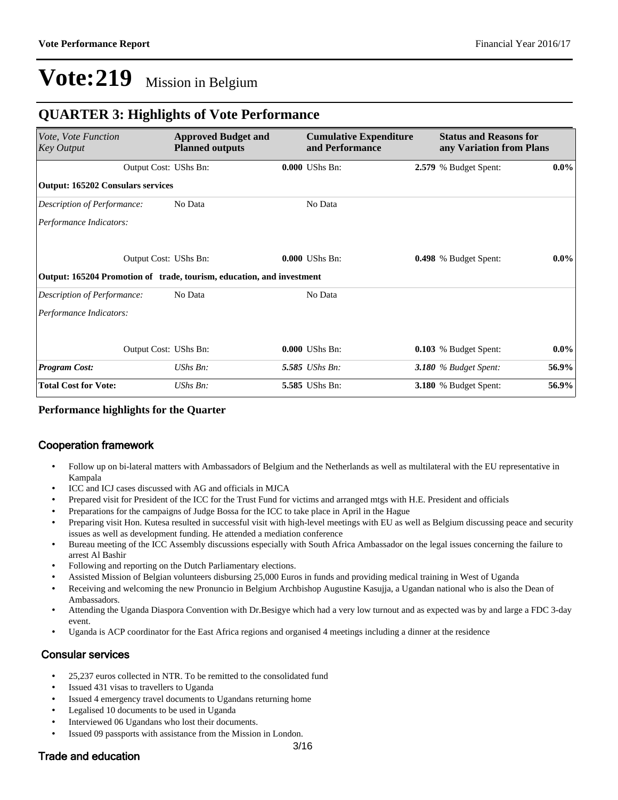### **QUARTER 3: Highlights of Vote Performance**

| Vote, Vote Function<br><b>Key Output</b>                              | <b>Approved Budget and</b><br><b>Planned outputs</b> | <b>Cumulative Expenditure</b><br>and Performance | <b>Status and Reasons for</b><br>any Variation from Plans |         |
|-----------------------------------------------------------------------|------------------------------------------------------|--------------------------------------------------|-----------------------------------------------------------|---------|
| Output Cost: UShs Bn:                                                 |                                                      | 0.000 UShs Bn:                                   | 2.579 % Budget Spent:                                     | $0.0\%$ |
| <b>Output: 165202 Consulars services</b>                              |                                                      |                                                  |                                                           |         |
| Description of Performance:                                           | No Data                                              | No Data                                          |                                                           |         |
| Performance Indicators:                                               |                                                      |                                                  |                                                           |         |
| Output Cost: UShs Bn:                                                 |                                                      | 0.000 UShs Bn:                                   | 0.498 % Budget Spent:                                     | $0.0\%$ |
| Output: 165204 Promotion of trade, tourism, education, and investment |                                                      |                                                  |                                                           |         |
| Description of Performance:                                           | No Data                                              | No Data                                          |                                                           |         |
| Performance Indicators:                                               |                                                      |                                                  |                                                           |         |
| Output Cost: UShs Bn:                                                 |                                                      | 0.000 UShs Bn:                                   | 0.103 % Budget Spent:                                     | $0.0\%$ |
| <b>Program Cost:</b>                                                  | UShs Bn:                                             | 5.585 UShs Bn:                                   | 3.180 $%$ Budget Spent:                                   | 56.9%   |
| <b>Total Cost for Vote:</b>                                           | $UShs Bn$ :                                          | 5.585 UShs Bn:                                   | <b>3.180</b> % Budget Spent:                              | 56.9%   |

#### **Performance highlights for the Quarter**

#### Cooperation framework

- Follow up on bi-lateral matters with Ambassadors of Belgium and the Netherlands as well as multilateral with the EU representative in Kampala
- ICC and ICJ cases discussed with AG and officials in MJCA
- Prepared visit for President of the ICC for the Trust Fund for victims and arranged mtgs with H.E. President and officials
- Preparations for the campaigns of Judge Bossa for the ICC to take place in April in the Hague
- Preparing visit Hon. Kutesa resulted in successful visit with high-level meetings with EU as well as Belgium discussing peace and security issues as well as development funding. He attended a mediation conference
- Bureau meeting of the ICC Assembly discussions especially with South Africa Ambassador on the legal issues concerning the failure to arrest Al Bashir
- Following and reporting on the Dutch Parliamentary elections.
- Assisted Mission of Belgian volunteers disbursing 25,000 Euros in funds and providing medical training in West of Uganda
- Receiving and welcoming the new Pronuncio in Belgium Archbishop Augustine Kasujja, a Ugandan national who is also the Dean of Ambassadors.
- Attending the Uganda Diaspora Convention with Dr.Besigye which had a very low turnout and as expected was by and large a FDC 3-day event.
- Uganda is ACP coordinator for the East Africa regions and organised 4 meetings including a dinner at the residence

#### Consular services

- 25,237 euros collected in NTR. To be remitted to the consolidated fund
- Issued 431 visas to travellers to Uganda
- Issued 4 emergency travel documents to Ugandans returning home
- Legalised 10 documents to be used in Uganda
- Interviewed 06 Ugandans who lost their documents.
- Issued 09 passports with assistance from the Mission in London.

#### Trade and education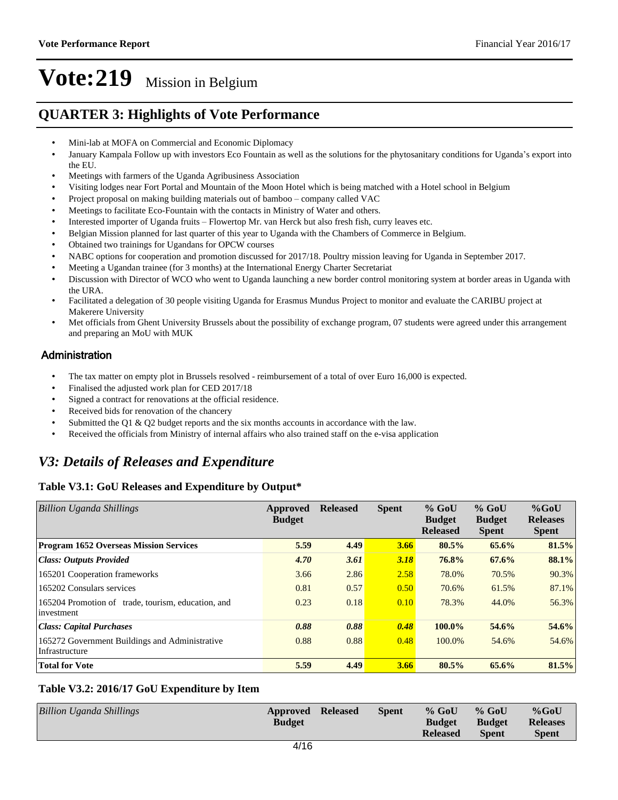### **QUARTER 3: Highlights of Vote Performance**

- Mini-lab at MOFA on Commercial and Economic Diplomacy
- January Kampala Follow up with investors Eco Fountain as well as the solutions for the phytosanitary conditions for Uganda's export into the EU.
- Meetings with farmers of the Uganda Agribusiness Association
- Visiting lodges near Fort Portal and Mountain of the Moon Hotel which is being matched with a Hotel school in Belgium
- Project proposal on making building materials out of bamboo company called VAC
- Meetings to facilitate Eco-Fountain with the contacts in Ministry of Water and others.
- Interested importer of Uganda fruits Flowertop Mr. van Herck but also fresh fish, curry leaves etc.
- Belgian Mission planned for last quarter of this year to Uganda with the Chambers of Commerce in Belgium.
- Obtained two trainings for Ugandans for OPCW courses
- NABC options for cooperation and promotion discussed for 2017/18. Poultry mission leaving for Uganda in September 2017.
- Meeting a Ugandan trainee (for 3 months) at the International Energy Charter Secretariat
- Discussion with Director of WCO who went to Uganda launching a new border control monitoring system at border areas in Uganda with the URA.
- Facilitated a delegation of 30 people visiting Uganda for Erasmus Mundus Project to monitor and evaluate the CARIBU project at Makerere University
- Met officials from Ghent University Brussels about the possibility of exchange program, 07 students were agreed under this arrangement and preparing an MoU with MUK

### **Administration**

- The tax matter on empty plot in Brussels resolved reimbursement of a total of over Euro 16,000 is expected.
- Finalised the adjusted work plan for CED 2017/18
- Signed a contract for renovations at the official residence.
- Received bids for renovation of the chancery
- Submitted the Q1 & Q2 budget reports and the six months accounts in accordance with the law.
- Received the officials from Ministry of internal affairs who also trained staff on the e-visa application

## *V3: Details of Releases and Expenditure*

### **Table V3.1: GoU Releases and Expenditure by Output\***

| <b>Billion Uganda Shillings</b>                                  | Approved<br><b>Budget</b> | <b>Released</b> | <b>Spent</b> | $%$ GoU<br><b>Budget</b><br><b>Released</b> | $%$ GoU<br><b>Budget</b><br><b>Spent</b> | $%$ GoU<br><b>Releases</b><br><b>Spent</b> |
|------------------------------------------------------------------|---------------------------|-----------------|--------------|---------------------------------------------|------------------------------------------|--------------------------------------------|
| <b>Program 1652 Overseas Mission Services</b>                    | 5.59                      | 4.49            | 3.66         | $80.5\%$                                    | 65.6%                                    | 81.5%                                      |
| <b>Class: Outputs Provided</b>                                   | 4.70                      | 3.61            | 3.18         | 76.8%                                       | 67.6%                                    | 88.1%                                      |
| 165201 Cooperation frameworks                                    | 3.66                      | 2.86            | 2.58         | 78.0%                                       | 70.5%                                    | 90.3%                                      |
| 165202 Consulars services                                        | 0.81                      | 0.57            | 0.50         | 70.6%                                       | 61.5%                                    | 87.1%                                      |
| 165204 Promotion of trade, tourism, education, and<br>investment | 0.23                      | 0.18            | 0.10         | 78.3%                                       | 44.0%                                    | 56.3%                                      |
| <b>Class: Capital Purchases</b>                                  | 0.88                      | 0.88            | 0.48         | 100.0%                                      | 54.6%                                    | 54.6%                                      |
| 165272 Government Buildings and Administrative<br>Infrastructure | 0.88                      | 0.88            | 0.48         | 100.0%                                      | 54.6%                                    | 54.6%                                      |
| <b>Total for Vote</b>                                            | 5.59                      | 4.49            | 3.66         | 80.5%                                       | 65.6%                                    | 81.5%                                      |

#### **Table V3.2: 2016/17 GoU Expenditure by Item**

| Billion Uganda Shillings | Approved Released<br><b>Budget</b> | <b>Spent</b> | $%$ GoU<br><b>Budget</b> | $%$ GoU<br><b>Budget</b> | $%$ GoU<br><b>Releases</b> |
|--------------------------|------------------------------------|--------------|--------------------------|--------------------------|----------------------------|
|                          |                                    |              | <b>Released</b>          | <b>Spent</b>             | <b>Spent</b>               |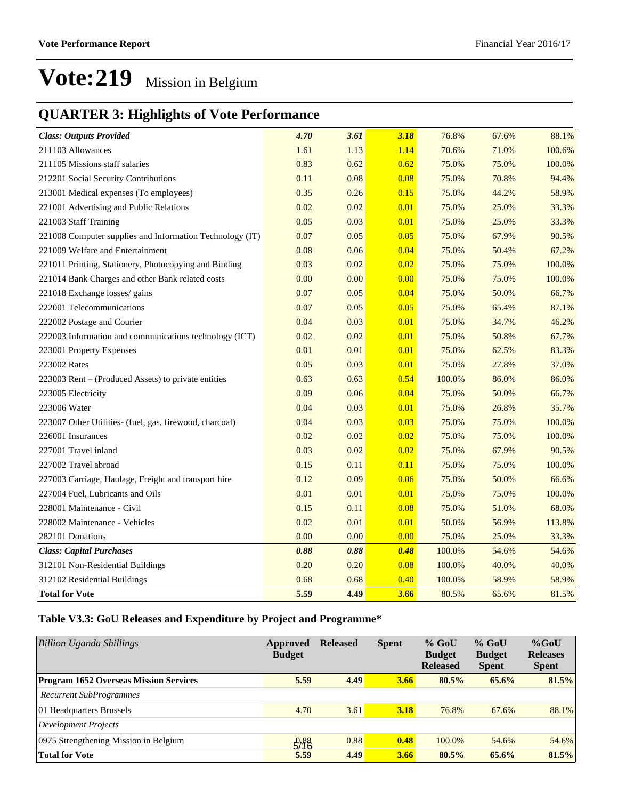## **QUARTER 3: Highlights of Vote Performance**

| <b>Class: Outputs Provided</b>                           | 4.70 | 3.61 | 3.18 | 76.8%  | 67.6% | 88.1%  |
|----------------------------------------------------------|------|------|------|--------|-------|--------|
| 211103 Allowances                                        | 1.61 | 1.13 | 1.14 | 70.6%  | 71.0% | 100.6% |
| 211105 Missions staff salaries                           | 0.83 | 0.62 | 0.62 | 75.0%  | 75.0% | 100.0% |
| 212201 Social Security Contributions                     | 0.11 | 0.08 | 0.08 | 75.0%  | 70.8% | 94.4%  |
| 213001 Medical expenses (To employees)                   | 0.35 | 0.26 | 0.15 | 75.0%  | 44.2% | 58.9%  |
| 221001 Advertising and Public Relations                  | 0.02 | 0.02 | 0.01 | 75.0%  | 25.0% | 33.3%  |
| 221003 Staff Training                                    | 0.05 | 0.03 | 0.01 | 75.0%  | 25.0% | 33.3%  |
| 221008 Computer supplies and Information Technology (IT) | 0.07 | 0.05 | 0.05 | 75.0%  | 67.9% | 90.5%  |
| 221009 Welfare and Entertainment                         | 0.08 | 0.06 | 0.04 | 75.0%  | 50.4% | 67.2%  |
| 221011 Printing, Stationery, Photocopying and Binding    | 0.03 | 0.02 | 0.02 | 75.0%  | 75.0% | 100.0% |
| 221014 Bank Charges and other Bank related costs         | 0.00 | 0.00 | 0.00 | 75.0%  | 75.0% | 100.0% |
| 221018 Exchange losses/ gains                            | 0.07 | 0.05 | 0.04 | 75.0%  | 50.0% | 66.7%  |
| 222001 Telecommunications                                | 0.07 | 0.05 | 0.05 | 75.0%  | 65.4% | 87.1%  |
| 222002 Postage and Courier                               | 0.04 | 0.03 | 0.01 | 75.0%  | 34.7% | 46.2%  |
| 222003 Information and communications technology (ICT)   | 0.02 | 0.02 | 0.01 | 75.0%  | 50.8% | 67.7%  |
| 223001 Property Expenses                                 | 0.01 | 0.01 | 0.01 | 75.0%  | 62.5% | 83.3%  |
| 223002 Rates                                             | 0.05 | 0.03 | 0.01 | 75.0%  | 27.8% | 37.0%  |
| 223003 Rent – (Produced Assets) to private entities      | 0.63 | 0.63 | 0.54 | 100.0% | 86.0% | 86.0%  |
| 223005 Electricity                                       | 0.09 | 0.06 | 0.04 | 75.0%  | 50.0% | 66.7%  |
| 223006 Water                                             | 0.04 | 0.03 | 0.01 | 75.0%  | 26.8% | 35.7%  |
| 223007 Other Utilities- (fuel, gas, firewood, charcoal)  | 0.04 | 0.03 | 0.03 | 75.0%  | 75.0% | 100.0% |
| 226001 Insurances                                        | 0.02 | 0.02 | 0.02 | 75.0%  | 75.0% | 100.0% |
| 227001 Travel inland                                     | 0.03 | 0.02 | 0.02 | 75.0%  | 67.9% | 90.5%  |
| 227002 Travel abroad                                     | 0.15 | 0.11 | 0.11 | 75.0%  | 75.0% | 100.0% |
| 227003 Carriage, Haulage, Freight and transport hire     | 0.12 | 0.09 | 0.06 | 75.0%  | 50.0% | 66.6%  |
| 227004 Fuel, Lubricants and Oils                         | 0.01 | 0.01 | 0.01 | 75.0%  | 75.0% | 100.0% |
| 228001 Maintenance - Civil                               | 0.15 | 0.11 | 0.08 | 75.0%  | 51.0% | 68.0%  |
| 228002 Maintenance - Vehicles                            | 0.02 | 0.01 | 0.01 | 50.0%  | 56.9% | 113.8% |
| 282101 Donations                                         | 0.00 | 0.00 | 0.00 | 75.0%  | 25.0% | 33.3%  |
| <b>Class: Capital Purchases</b>                          | 0.88 | 0.88 | 0.48 | 100.0% | 54.6% | 54.6%  |
| 312101 Non-Residential Buildings                         | 0.20 | 0.20 | 0.08 | 100.0% | 40.0% | 40.0%  |
| 312102 Residential Buildings                             | 0.68 | 0.68 | 0.40 | 100.0% | 58.9% | 58.9%  |
| <b>Total for Vote</b>                                    | 5.59 | 4.49 | 3.66 | 80.5%  | 65.6% | 81.5%  |

### **Table V3.3: GoU Releases and Expenditure by Project and Programme\***

| <b>Billion Uganda Shillings</b>               | Approved<br><b>Budget</b> | <b>Released</b> | <b>Spent</b> | $%$ GoU<br><b>Budget</b><br><b>Released</b> | $%$ GoU<br><b>Budget</b><br><b>Spent</b> | $%$ GoU<br><b>Releases</b><br><b>Spent</b> |
|-----------------------------------------------|---------------------------|-----------------|--------------|---------------------------------------------|------------------------------------------|--------------------------------------------|
| <b>Program 1652 Overseas Mission Services</b> | 5.59                      | 4.49            | 3.66         | 80.5%                                       | 65.6%                                    | 81.5%                                      |
| Recurrent SubProgrammes                       |                           |                 |              |                                             |                                          |                                            |
| 01 Headquarters Brussels                      | 4.70                      | 3.61            | 3.18         | 76.8%                                       | 67.6%                                    | 88.1%                                      |
| <b>Development Projects</b>                   |                           |                 |              |                                             |                                          |                                            |
| 0975 Strengthening Mission in Belgium         | 5/38                      | 0.88            | 0.48         | 100.0%                                      | 54.6%                                    | 54.6%                                      |
| <b>Total for Vote</b>                         | 5.59                      | 4.49            | 3.66         | 80.5%                                       | 65.6%                                    | 81.5%                                      |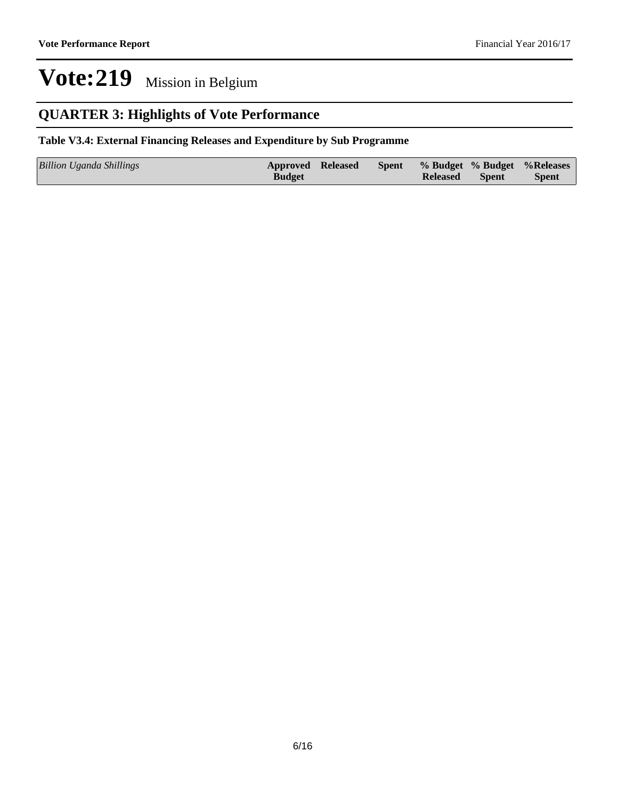## **QUARTER 3: Highlights of Vote Performance**

### **Table V3.4: External Financing Releases and Expenditure by Sub Programme**

| Billion Uganda Shillings | <b>Approved Released</b> |  |                 |       | Spent % Budget % Budget % Releases |
|--------------------------|--------------------------|--|-----------------|-------|------------------------------------|
|                          | <b>Budget</b>            |  | <b>Released</b> | Spent | <b>Spent</b>                       |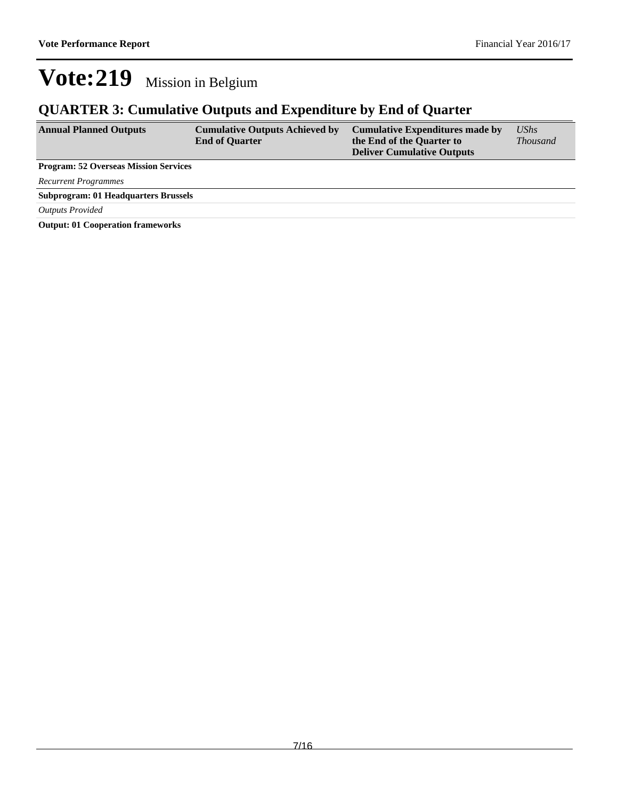## **QUARTER 3: Cumulative Outputs and Expenditure by End of Quarter**

| <b>Annual Planned Outputs</b>                | <b>Cumulative Outputs Achieved by</b><br><b>End of Quarter</b> | <b>Cumulative Expenditures made by</b><br>the End of the Quarter to<br><b>Deliver Cumulative Outputs</b> | $\mathit{UShs}$<br><i>Thousand</i> |
|----------------------------------------------|----------------------------------------------------------------|----------------------------------------------------------------------------------------------------------|------------------------------------|
| <b>Program: 52 Overseas Mission Services</b> |                                                                |                                                                                                          |                                    |
| Recurrent Programmes                         |                                                                |                                                                                                          |                                    |
| <b>Subprogram: 01 Headquarters Brussels</b>  |                                                                |                                                                                                          |                                    |
| <b>Outputs Provided</b>                      |                                                                |                                                                                                          |                                    |

**Output: 01 Cooperation frameworks**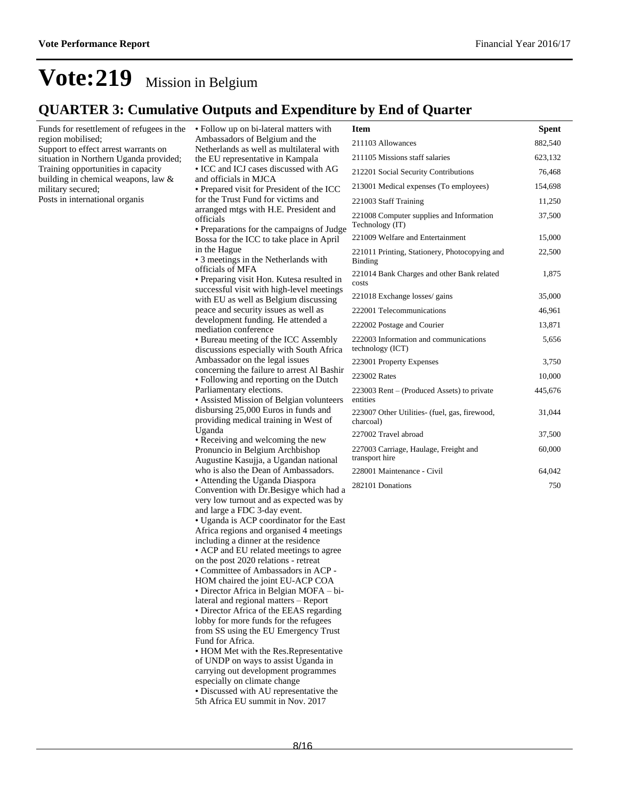**Spent** 

## **Vote:219** Mission in Belgium

## **QUARTER 3: Cumulative Outputs and Expenditure by End of Quarter**

| Funds for resettlement of refugees in the                                      | • Follow up on bi-lateral matters with                                                                                                                | <b>Item</b>                                                 | <b>Spent</b> |
|--------------------------------------------------------------------------------|-------------------------------------------------------------------------------------------------------------------------------------------------------|-------------------------------------------------------------|--------------|
| region mobilised;                                                              | Ambassadors of Belgium and the<br>Netherlands as well as multilateral with                                                                            | 211103 Allowances                                           | 882,540      |
| Support to effect arrest warrants on<br>situation in Northern Uganda provided; | the EU representative in Kampala                                                                                                                      | 211105 Missions staff salaries                              | 623,132      |
| Training opportunities in capacity                                             | • ICC and ICJ cases discussed with AG                                                                                                                 | 212201 Social Security Contributions                        | 76,468       |
| building in chemical weapons, law $&$<br>military secured;                     | and officials in MJCA<br>• Prepared visit for President of the ICC                                                                                    | 213001 Medical expenses (To employees)                      | 154,698      |
| Posts in international organis                                                 | for the Trust Fund for victims and                                                                                                                    | 221003 Staff Training                                       | 11,250       |
|                                                                                | arranged mtgs with H.E. President and<br>officials<br>• Preparations for the campaigns of Judge                                                       | 221008 Computer supplies and Information<br>Technology (IT) | 37,500       |
|                                                                                | Bossa for the ICC to take place in April                                                                                                              | 221009 Welfare and Entertainment                            | 15,000       |
|                                                                                | in the Hague<br>• 3 meetings in the Netherlands with                                                                                                  | 221011 Printing, Stationery, Photocopying and<br>Binding    | 22,500       |
|                                                                                | officials of MFA<br>• Preparing visit Hon. Kutesa resulted in                                                                                         | 221014 Bank Charges and other Bank related<br>costs         | 1,875        |
|                                                                                | successful visit with high-level meetings<br>with EU as well as Belgium discussing                                                                    | 221018 Exchange losses/ gains                               | 35,000       |
|                                                                                | peace and security issues as well as                                                                                                                  | 222001 Telecommunications                                   | 46,961       |
|                                                                                | development funding. He attended a<br>mediation conference                                                                                            | 222002 Postage and Courier                                  | 13,871       |
|                                                                                | • Bureau meeting of the ICC Assembly<br>discussions especially with South Africa                                                                      | 222003 Information and communications<br>technology (ICT)   | 5,656        |
|                                                                                | Ambassador on the legal issues                                                                                                                        | 223001 Property Expenses                                    | 3,750        |
|                                                                                | concerning the failure to arrest Al Bashir<br>• Following and reporting on the Dutch                                                                  | 223002 Rates                                                | 10,000       |
|                                                                                | Parliamentary elections.<br>• Assisted Mission of Belgian volunteers<br>disbursing 25,000 Euros in funds and<br>providing medical training in West of | 223003 Rent – (Produced Assets) to private<br>entities      | 445,676      |
|                                                                                |                                                                                                                                                       | 223007 Other Utilities- (fuel, gas, firewood,<br>charcoal)  | 31,044       |
|                                                                                | Uganda<br>• Receiving and welcoming the new                                                                                                           | 227002 Travel abroad                                        | 37,500       |
|                                                                                | Pronuncio in Belgium Archbishop<br>Augustine Kasujja, a Ugandan national                                                                              | 227003 Carriage, Haulage, Freight and<br>transport hire     | 60,000       |
|                                                                                | who is also the Dean of Ambassadors.                                                                                                                  | 228001 Maintenance - Civil                                  | 64,042       |
|                                                                                | • Attending the Uganda Diaspora<br>Convention with Dr. Besigye which had a                                                                            | 282101 Donations                                            | 750          |
|                                                                                | very low turnout and as expected was by<br>and large a FDC 3-day event.                                                                               |                                                             |              |
|                                                                                | • Uganda is ACP coordinator for the East                                                                                                              |                                                             |              |
|                                                                                | Africa regions and organised 4 meetings                                                                                                               |                                                             |              |
|                                                                                | including a dinner at the residence<br>• ACP and EU related meetings to agree                                                                         |                                                             |              |
|                                                                                | on the post 2020 relations - retreat                                                                                                                  |                                                             |              |
|                                                                                | • Committee of Ambassadors in ACP -                                                                                                                   |                                                             |              |
|                                                                                | HOM chaired the joint EU-ACP COA<br>• Director Africa in Belgian MOFA – bi-                                                                           |                                                             |              |
|                                                                                | lateral and regional matters - Report                                                                                                                 |                                                             |              |
|                                                                                | • Director Africa of the EEAS regarding<br>lobby for more funds for the refugees                                                                      |                                                             |              |
|                                                                                | from SS using the EU Emergency Trust                                                                                                                  |                                                             |              |
|                                                                                | Fund for Africa.<br>• HOM Met with the Res. Representative                                                                                            |                                                             |              |
|                                                                                | of UNDP on ways to assist Uganda in                                                                                                                   |                                                             |              |
|                                                                                | carrying out development programmes                                                                                                                   |                                                             |              |
|                                                                                | especially on climate change                                                                                                                          |                                                             |              |
|                                                                                | · Discussed with AU representative the<br>5th Africa EU summit in Nov. 2017                                                                           |                                                             |              |
|                                                                                |                                                                                                                                                       |                                                             |              |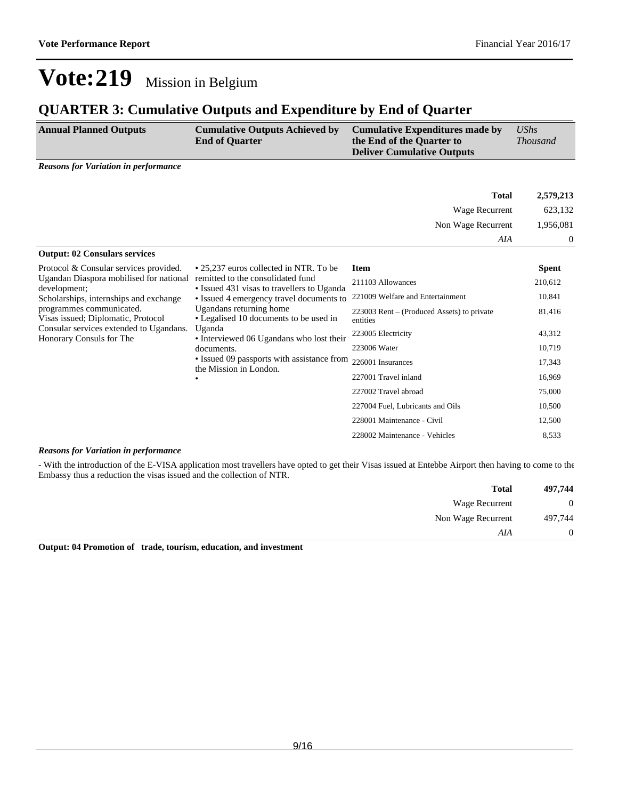## **QUARTER 3: Cumulative Outputs and Expenditure by End of Quarter**

| <b>Annual Planned Outputs</b>                                                                                                                                                                   | <b>Cumulative Outputs Achieved by</b> | Cumulative Expenditures made by                                | UShs            |
|-------------------------------------------------------------------------------------------------------------------------------------------------------------------------------------------------|---------------------------------------|----------------------------------------------------------------|-----------------|
|                                                                                                                                                                                                 | <b>End of Quarter</b>                 | the End of the Quarter to<br><b>Deliver Cumulative Outputs</b> | <i>Thousand</i> |
| $\mathbf{D}_{\text{c}}$ and $\mathbf{L}_{\text{c}}$ and $\mathbf{L}_{\text{c}}$ and $\mathbf{L}_{\text{c}}$ and $\mathbf{L}_{\text{c}}$ are $\mathbf{L}_{\text{c}}$ and $\mathbf{L}_{\text{c}}$ |                                       |                                                                |                 |

*Reasons for Variation in performance*

|                                                                                                                                                                                                                                            |                                                                                                                                                                                                                                                                                                                                              | <b>Total</b>                                             | 2,579,213      |
|--------------------------------------------------------------------------------------------------------------------------------------------------------------------------------------------------------------------------------------------|----------------------------------------------------------------------------------------------------------------------------------------------------------------------------------------------------------------------------------------------------------------------------------------------------------------------------------------------|----------------------------------------------------------|----------------|
|                                                                                                                                                                                                                                            |                                                                                                                                                                                                                                                                                                                                              | Wage Recurrent                                           | 623,132        |
|                                                                                                                                                                                                                                            |                                                                                                                                                                                                                                                                                                                                              | Non Wage Recurrent                                       | 1,956,081      |
|                                                                                                                                                                                                                                            |                                                                                                                                                                                                                                                                                                                                              | AIA                                                      | $\overline{0}$ |
| <b>Output: 02 Consulars services</b>                                                                                                                                                                                                       |                                                                                                                                                                                                                                                                                                                                              |                                                          |                |
| Protocol & Consular services provided.                                                                                                                                                                                                     | • 25,237 euros collected in NTR. To be                                                                                                                                                                                                                                                                                                       | <b>Item</b>                                              | <b>Spent</b>   |
| Ugandan Diaspora mobilised for national<br>development;<br>Scholarships, internships and exchange<br>programmes communicated.<br>Visas issued; Diplomatic, Protocol<br>Consular services extended to Ugandans.<br>Honorary Consuls for The | remitted to the consolidated fund<br>· Issued 431 visas to travellers to Uganda<br>• Issued 4 emergency travel documents to<br>Ugandans returning home<br>• Legalised 10 documents to be used in<br>Uganda<br>• Interviewed 06 Ugandans who lost their<br>documents.<br>• Issued 09 passports with assistance from<br>the Mission in London. | 211103 Allowances                                        | 210,612        |
|                                                                                                                                                                                                                                            |                                                                                                                                                                                                                                                                                                                                              | 221009 Welfare and Entertainment                         | 10,841         |
|                                                                                                                                                                                                                                            |                                                                                                                                                                                                                                                                                                                                              | $223003$ Rent – (Produced Assets) to private<br>entities | 81,416         |
|                                                                                                                                                                                                                                            |                                                                                                                                                                                                                                                                                                                                              | 223005 Electricity                                       | 43,312         |
|                                                                                                                                                                                                                                            |                                                                                                                                                                                                                                                                                                                                              | 223006 Water                                             | 10,719         |
|                                                                                                                                                                                                                                            |                                                                                                                                                                                                                                                                                                                                              | 226001 Insurances                                        | 17,343         |
|                                                                                                                                                                                                                                            |                                                                                                                                                                                                                                                                                                                                              | 227001 Travel inland                                     | 16,969         |
|                                                                                                                                                                                                                                            |                                                                                                                                                                                                                                                                                                                                              | 227002 Travel abroad                                     | 75,000         |
|                                                                                                                                                                                                                                            |                                                                                                                                                                                                                                                                                                                                              | 227004 Fuel, Lubricants and Oils                         | 10,500         |
|                                                                                                                                                                                                                                            |                                                                                                                                                                                                                                                                                                                                              | 228001 Maintenance - Civil                               | 12,500         |
|                                                                                                                                                                                                                                            |                                                                                                                                                                                                                                                                                                                                              | 228002 Maintenance - Vehicles                            | 8,533          |

#### *Reasons for Variation in performance*

- With the introduction of the E-VISA application most travellers have opted to get their Visas issued at Entebbe Airport then having to come to the Embassy thus a reduction the visas issued and the collection of NTR.

| 497,744        | <b>Total</b>          |
|----------------|-----------------------|
| $\overline{0}$ | <b>Wage Recurrent</b> |
| 497,744        | Non Wage Recurrent    |
| $\theta$       | AIA                   |
|                |                       |

**Output: 04 Promotion of trade, tourism, education, and investment**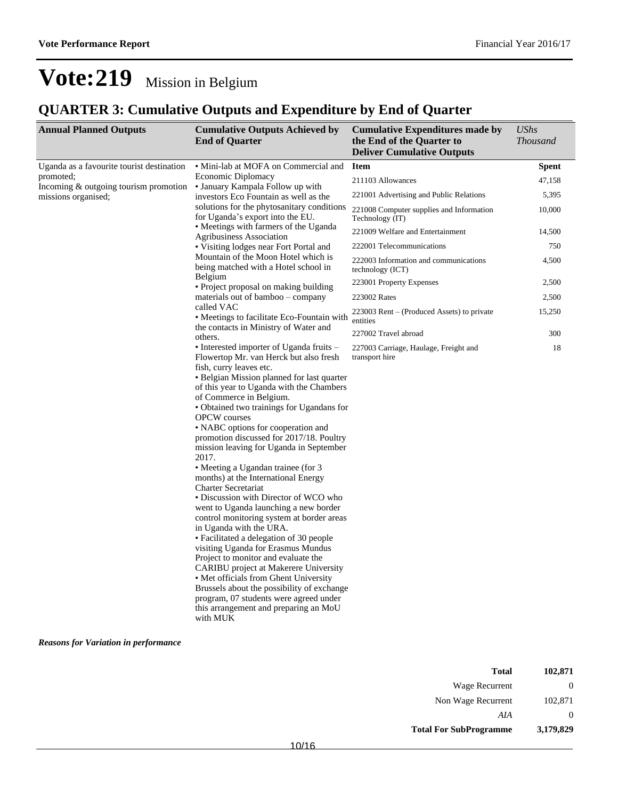## **QUARTER 3: Cumulative Outputs and Expenditure by End of Quarter**

| <b>Annual Planned Outputs</b>                                  | <b>Cumulative Outputs Achieved by</b><br><b>End of Quarter</b>                                                                                                                                                                                                                                                                                                                                                                                                                                                                                                                                                                                                                                                                                                                                                                                                                                                                                                                                                                                                           | <b>Cumulative Expenditures made by</b><br>the End of the Quarter to<br><b>Deliver Cumulative Outputs</b> | <b>UShs</b><br><b>Thousand</b> |
|----------------------------------------------------------------|--------------------------------------------------------------------------------------------------------------------------------------------------------------------------------------------------------------------------------------------------------------------------------------------------------------------------------------------------------------------------------------------------------------------------------------------------------------------------------------------------------------------------------------------------------------------------------------------------------------------------------------------------------------------------------------------------------------------------------------------------------------------------------------------------------------------------------------------------------------------------------------------------------------------------------------------------------------------------------------------------------------------------------------------------------------------------|----------------------------------------------------------------------------------------------------------|--------------------------------|
| Uganda as a favourite tourist destination                      | • Mini-lab at MOFA on Commercial and                                                                                                                                                                                                                                                                                                                                                                                                                                                                                                                                                                                                                                                                                                                                                                                                                                                                                                                                                                                                                                     | <b>Item</b>                                                                                              | <b>Spent</b>                   |
| promoted;                                                      | Economic Diplomacy                                                                                                                                                                                                                                                                                                                                                                                                                                                                                                                                                                                                                                                                                                                                                                                                                                                                                                                                                                                                                                                       | 211103 Allowances                                                                                        | 47,158                         |
| Incoming $&$ outgoing tourism promotion<br>missions organised; | • January Kampala Follow up with<br>investors Eco Fountain as well as the<br>solutions for the phytosanitary conditions<br>for Uganda's export into the EU.                                                                                                                                                                                                                                                                                                                                                                                                                                                                                                                                                                                                                                                                                                                                                                                                                                                                                                              | 221001 Advertising and Public Relations                                                                  | 5,395                          |
|                                                                |                                                                                                                                                                                                                                                                                                                                                                                                                                                                                                                                                                                                                                                                                                                                                                                                                                                                                                                                                                                                                                                                          | 221008 Computer supplies and Information<br>Technology (IT)                                              | 10,000                         |
|                                                                | • Meetings with farmers of the Uganda                                                                                                                                                                                                                                                                                                                                                                                                                                                                                                                                                                                                                                                                                                                                                                                                                                                                                                                                                                                                                                    | 221009 Welfare and Entertainment                                                                         | 14,500                         |
|                                                                | <b>Agribusiness Association</b><br>• Visiting lodges near Fort Portal and<br>Mountain of the Moon Hotel which is<br>being matched with a Hotel school in                                                                                                                                                                                                                                                                                                                                                                                                                                                                                                                                                                                                                                                                                                                                                                                                                                                                                                                 | 222001 Telecommunications                                                                                | 750                            |
|                                                                |                                                                                                                                                                                                                                                                                                                                                                                                                                                                                                                                                                                                                                                                                                                                                                                                                                                                                                                                                                                                                                                                          | 222003 Information and communications<br>technology (ICT)                                                | 4,500                          |
|                                                                | Belgium<br>• Project proposal on making building                                                                                                                                                                                                                                                                                                                                                                                                                                                                                                                                                                                                                                                                                                                                                                                                                                                                                                                                                                                                                         | 223001 Property Expenses                                                                                 | 2,500                          |
|                                                                | materials out of bamboo – company                                                                                                                                                                                                                                                                                                                                                                                                                                                                                                                                                                                                                                                                                                                                                                                                                                                                                                                                                                                                                                        | 223002 Rates                                                                                             | 2,500                          |
|                                                                | called VAC<br>• Meetings to facilitate Eco-Fountain with<br>the contacts in Ministry of Water and<br>others.                                                                                                                                                                                                                                                                                                                                                                                                                                                                                                                                                                                                                                                                                                                                                                                                                                                                                                                                                             | 223003 Rent – (Produced Assets) to private<br>entities                                                   | 15,250                         |
|                                                                |                                                                                                                                                                                                                                                                                                                                                                                                                                                                                                                                                                                                                                                                                                                                                                                                                                                                                                                                                                                                                                                                          | 227002 Travel abroad                                                                                     | 300                            |
|                                                                | • Interested importer of Uganda fruits –<br>Flowertop Mr. van Herck but also fresh<br>fish, curry leaves etc.<br>• Belgian Mission planned for last quarter<br>of this year to Uganda with the Chambers<br>of Commerce in Belgium.<br>• Obtained two trainings for Ugandans for<br><b>OPCW</b> courses<br>• NABC options for cooperation and<br>promotion discussed for 2017/18. Poultry<br>mission leaving for Uganda in September<br>2017.<br>• Meeting a Ugandan trainee (for 3<br>months) at the International Energy<br><b>Charter Secretariat</b><br>• Discussion with Director of WCO who<br>went to Uganda launching a new border<br>control monitoring system at border areas<br>in Uganda with the URA.<br>• Facilitated a delegation of 30 people<br>visiting Uganda for Erasmus Mundus<br>Project to monitor and evaluate the<br>CARIBU project at Makerere University<br>• Met officials from Ghent University<br>Brussels about the possibility of exchange<br>program, 07 students were agreed under<br>this arrangement and preparing an MoU<br>with MUK | 227003 Carriage, Haulage, Freight and<br>transport hire                                                  | 18                             |

#### *Reasons for Variation in performance*

| Total                         | 102,871   |
|-------------------------------|-----------|
| Wage Recurrent                | $\theta$  |
| Non Wage Recurrent            | 102,871   |
| AIA                           | $\theta$  |
| <b>Total For SubProgramme</b> | 3,179,829 |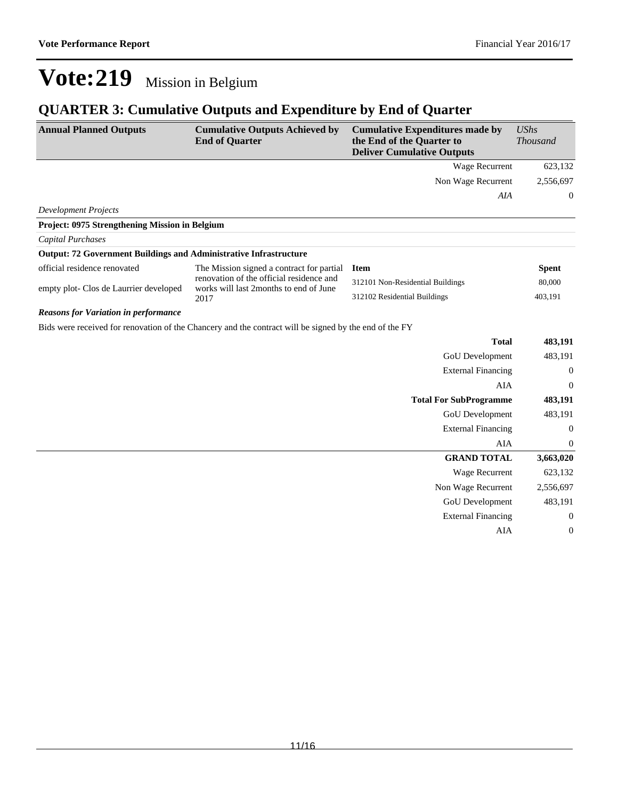## **QUARTER 3: Cumulative Outputs and Expenditure by End of Quarter**

| <b>Annual Planned Outputs</b>                                            | <b>Cumulative Outputs Achieved by</b><br><b>End of Quarter</b>                                         | <b>Cumulative Expenditures made by</b><br>the End of the Quarter to<br><b>Deliver Cumulative Outputs</b> | <b>UShs</b><br><b>Thousand</b> |
|--------------------------------------------------------------------------|--------------------------------------------------------------------------------------------------------|----------------------------------------------------------------------------------------------------------|--------------------------------|
|                                                                          |                                                                                                        | Wage Recurrent                                                                                           | 623,132                        |
|                                                                          |                                                                                                        | Non Wage Recurrent                                                                                       | 2,556,697                      |
|                                                                          |                                                                                                        | AIA                                                                                                      | $\boldsymbol{0}$               |
| <b>Development Projects</b>                                              |                                                                                                        |                                                                                                          |                                |
| Project: 0975 Strengthening Mission in Belgium                           |                                                                                                        |                                                                                                          |                                |
| <b>Capital Purchases</b>                                                 |                                                                                                        |                                                                                                          |                                |
| <b>Output: 72 Government Buildings and Administrative Infrastructure</b> |                                                                                                        |                                                                                                          |                                |
| official residence renovated                                             | The Mission signed a contract for partial                                                              | <b>Item</b>                                                                                              | <b>Spent</b>                   |
| empty plot- Clos de Laurrier developed                                   | renovation of the official residence and<br>works will last 2months to end of June                     | 312101 Non-Residential Buildings                                                                         | 80,000                         |
|                                                                          | 2017                                                                                                   | 312102 Residential Buildings                                                                             | 403,191                        |
| <b>Reasons for Variation in performance</b>                              |                                                                                                        |                                                                                                          |                                |
|                                                                          | Bids were received for renovation of the Chancery and the contract will be signed by the end of the FY |                                                                                                          |                                |
|                                                                          |                                                                                                        | <b>Total</b>                                                                                             | 483,191                        |
|                                                                          |                                                                                                        | GoU Development                                                                                          | 483,191                        |
|                                                                          |                                                                                                        | <b>External Financing</b>                                                                                | $\boldsymbol{0}$               |
|                                                                          |                                                                                                        | <b>AIA</b>                                                                                               | $\boldsymbol{0}$               |
|                                                                          |                                                                                                        | <b>Total For SubProgramme</b>                                                                            | 483,191                        |
|                                                                          |                                                                                                        | GoU Development                                                                                          | 483,191                        |
|                                                                          |                                                                                                        | <b>External Financing</b>                                                                                | $\boldsymbol{0}$               |
|                                                                          |                                                                                                        | <b>AIA</b>                                                                                               | $\boldsymbol{0}$               |
|                                                                          |                                                                                                        | <b>GRAND TOTAL</b>                                                                                       | 3,663,020                      |
|                                                                          |                                                                                                        | Wage Recurrent                                                                                           | 623,132                        |
|                                                                          |                                                                                                        | Non Wage Recurrent                                                                                       | 2,556,697                      |
|                                                                          |                                                                                                        | <b>GoU</b> Development                                                                                   | 483,191                        |
|                                                                          |                                                                                                        | <b>External Financing</b>                                                                                | $\boldsymbol{0}$               |
|                                                                          |                                                                                                        | AIA                                                                                                      | $\boldsymbol{0}$               |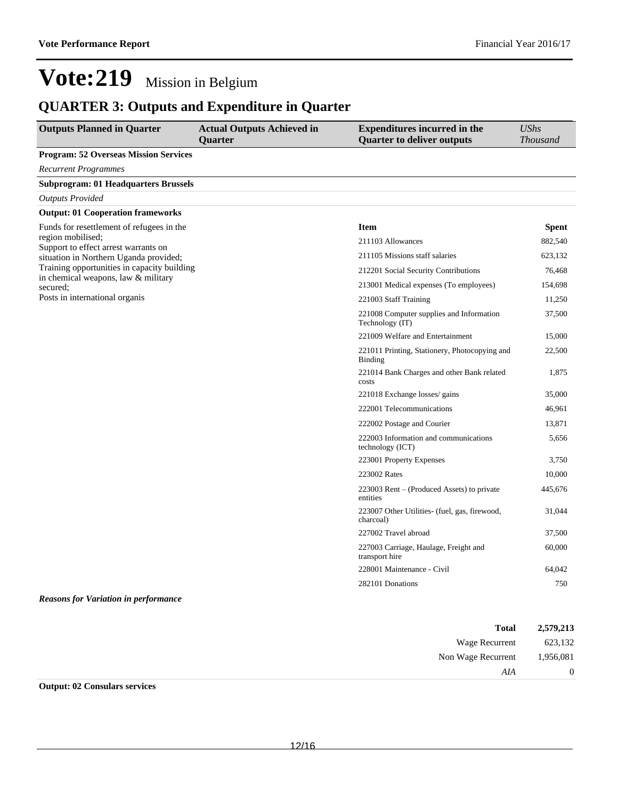Wage Recurrent 623,132 Non Wage Recurrent 1,956,081

*AIA* 0

## **Vote:219** Mission in Belgium

## **QUARTER 3: Outputs and Expenditure in Quarter**

| <b>Outputs Planned in Quarter</b>                                                  | <b>Actual Outputs Achieved in</b><br>Quarter | <b>Expenditures incurred in the</b><br><b>Quarter to deliver outputs</b> | <b>UShs</b><br><b>Thousand</b> |
|------------------------------------------------------------------------------------|----------------------------------------------|--------------------------------------------------------------------------|--------------------------------|
| <b>Program: 52 Overseas Mission Services</b>                                       |                                              |                                                                          |                                |
| <b>Recurrent Programmes</b>                                                        |                                              |                                                                          |                                |
| <b>Subprogram: 01 Headquarters Brussels</b>                                        |                                              |                                                                          |                                |
| <b>Outputs Provided</b>                                                            |                                              |                                                                          |                                |
| <b>Output: 01 Cooperation frameworks</b>                                           |                                              |                                                                          |                                |
| Funds for resettlement of refugees in the                                          |                                              | <b>Item</b>                                                              | <b>Spent</b>                   |
| region mobilised;<br>Support to effect arrest warrants on                          |                                              | 211103 Allowances                                                        | 882,540                        |
| situation in Northern Uganda provided;                                             |                                              | 211105 Missions staff salaries                                           | 623,132                        |
| Training opportunities in capacity building<br>in chemical weapons, law & military |                                              | 212201 Social Security Contributions                                     | 76,468                         |
| secured:                                                                           |                                              | 213001 Medical expenses (To employees)                                   | 154,698                        |
| Posts in international organis                                                     |                                              | 221003 Staff Training                                                    | 11,250                         |
|                                                                                    |                                              | 221008 Computer supplies and Information<br>Technology (IT)              | 37,500                         |
|                                                                                    |                                              | 221009 Welfare and Entertainment                                         | 15,000                         |
|                                                                                    |                                              | 221011 Printing, Stationery, Photocopying and<br>Binding                 | 22,500                         |
|                                                                                    |                                              | 221014 Bank Charges and other Bank related<br>costs                      | 1,875                          |
|                                                                                    |                                              | 221018 Exchange losses/ gains                                            | 35,000                         |
|                                                                                    |                                              | 222001 Telecommunications                                                | 46,961                         |
|                                                                                    |                                              | 222002 Postage and Courier                                               | 13,871                         |
|                                                                                    |                                              | 222003 Information and communications<br>technology (ICT)                | 5,656                          |
|                                                                                    |                                              | 223001 Property Expenses                                                 | 3,750                          |
|                                                                                    |                                              | 223002 Rates                                                             | 10,000                         |
|                                                                                    |                                              | 223003 Rent – (Produced Assets) to private<br>entities                   | 445,676                        |
|                                                                                    |                                              | 223007 Other Utilities- (fuel, gas, firewood,<br>charcoal)               | 31,044                         |
|                                                                                    |                                              | 227002 Travel abroad                                                     | 37,500                         |
|                                                                                    |                                              | 227003 Carriage, Haulage, Freight and<br>transport hire                  | 60,000                         |
|                                                                                    |                                              | 228001 Maintenance - Civil                                               | 64,042                         |
|                                                                                    |                                              | 282101 Donations                                                         | 750                            |
| <b>Reasons for Variation in performance</b>                                        |                                              |                                                                          |                                |
|                                                                                    |                                              | <b>Total</b>                                                             | 2,579,213                      |

| <b>Output: 02 Consulars services</b> |  |
|--------------------------------------|--|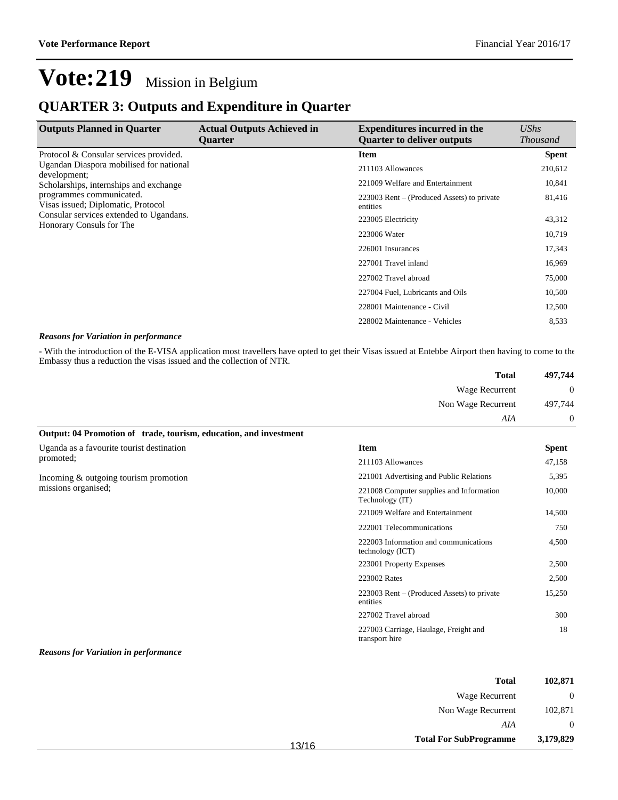## **QUARTER 3: Outputs and Expenditure in Quarter**

| <b>Outputs Planned in Quarter</b>                                                                                                                                               | <b>Actual Outputs Achieved in</b><br><b>Ouarter</b> | <b>Expenditures incurred in the</b><br><b>Ouarter to deliver outputs</b> | UShs<br><i>Thousand</i> |
|---------------------------------------------------------------------------------------------------------------------------------------------------------------------------------|-----------------------------------------------------|--------------------------------------------------------------------------|-------------------------|
| Protocol & Consular services provided.                                                                                                                                          |                                                     | <b>Item</b>                                                              | <b>Spent</b>            |
| Ugandan Diaspora mobilised for national<br>development;                                                                                                                         |                                                     | 211103 Allowances                                                        | 210,612                 |
| Scholarships, internships and exchange<br>programmes communicated.<br>Visas issued; Diplomatic, Protocol<br>Consular services extended to Ugandans.<br>Honorary Consuls for The |                                                     | 221009 Welfare and Entertainment                                         | 10,841                  |
|                                                                                                                                                                                 |                                                     | 223003 Rent – (Produced Assets) to private<br>entities                   | 81,416                  |
|                                                                                                                                                                                 |                                                     | 223005 Electricity                                                       | 43,312                  |
|                                                                                                                                                                                 |                                                     | 223006 Water                                                             | 10,719                  |
|                                                                                                                                                                                 |                                                     | 226001 Insurances                                                        | 17,343                  |
|                                                                                                                                                                                 |                                                     | 227001 Travel inland                                                     | 16,969                  |
|                                                                                                                                                                                 |                                                     | 227002 Travel abroad                                                     | 75,000                  |
|                                                                                                                                                                                 |                                                     | 227004 Fuel, Lubricants and Oils                                         | 10,500                  |
|                                                                                                                                                                                 |                                                     | 228001 Maintenance - Civil                                               | 12,500                  |
|                                                                                                                                                                                 |                                                     | 228002 Maintenance - Vehicles                                            | 8,533                   |

#### *Reasons for Variation in performance*

- With the introduction of the E-VISA application most travellers have opted to get their Visas issued at Entebbe Airport then having to come to the Embassy thus a reduction the visas issued and the collection of NTR.

|                                                                   | <b>Total</b>                                                | 497,744      |
|-------------------------------------------------------------------|-------------------------------------------------------------|--------------|
|                                                                   | Wage Recurrent                                              | $\bf{0}$     |
|                                                                   | Non Wage Recurrent                                          | 497,744      |
|                                                                   | AIA                                                         | 0            |
| Output: 04 Promotion of trade, tourism, education, and investment |                                                             |              |
| Uganda as a favourite tourist destination                         | <b>Item</b>                                                 | <b>Spent</b> |
| promoted;                                                         | 211103 Allowances                                           | 47,158       |
| Incoming $&$ outgoing tourism promotion                           | 221001 Advertising and Public Relations                     | 5,395        |
| missions organised;                                               | 221008 Computer supplies and Information<br>Technology (IT) | 10,000       |
|                                                                   | 221009 Welfare and Entertainment                            | 14,500       |
|                                                                   | 222001 Telecommunications                                   | 750          |
|                                                                   | 222003 Information and communications<br>technology (ICT)   | 4,500        |
|                                                                   | 223001 Property Expenses                                    | 2,500        |
|                                                                   | 223002 Rates                                                | 2,500        |
|                                                                   | 223003 Rent – (Produced Assets) to private<br>entities      | 15,250       |
|                                                                   | 227002 Travel abroad                                        | 300          |
|                                                                   | 227003 Carriage, Haulage, Freight and<br>transport hire     | 18           |
| <b>Reasons for Variation in performance</b>                       |                                                             |              |

| 102,871        | <b>Total</b>                  |       |
|----------------|-------------------------------|-------|
| $\overline{0}$ | Wage Recurrent                |       |
| 102,871        | Non Wage Recurrent            |       |
| $\Omega$       | AIA                           |       |
| 3,179,829      | <b>Total For SubProgramme</b> | 10110 |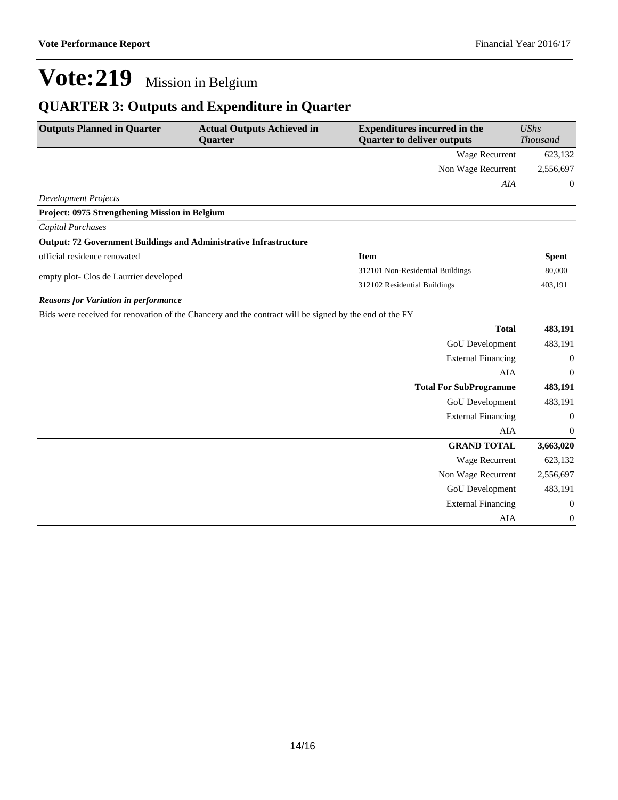## **QUARTER 3: Outputs and Expenditure in Quarter**

| Wage Recurrent<br>623,132<br>Non Wage Recurrent<br>2,556,697<br><b>AIA</b><br>$\boldsymbol{0}$<br><b>Development Projects</b><br>Project: 0975 Strengthening Mission in Belgium<br>Capital Purchases<br><b>Output: 72 Government Buildings and Administrative Infrastructure</b><br>official residence renovated<br><b>Item</b><br><b>Spent</b><br>80,000<br>312101 Non-Residential Buildings<br>empty plot- Clos de Laurrier developed<br>312102 Residential Buildings<br>403,191<br><b>Reasons for Variation in performance</b><br>Bids were received for renovation of the Chancery and the contract will be signed by the end of the FY<br><b>Total</b><br>483,191<br><b>GoU</b> Development<br>483,191<br><b>External Financing</b><br>$\boldsymbol{0}$<br><b>AIA</b><br>$\boldsymbol{0}$<br><b>Total For SubProgramme</b><br>483,191<br><b>GoU</b> Development<br>483,191 | <b>Outputs Planned in Quarter</b> | <b>Actual Outputs Achieved in</b> | <b>Expenditures incurred in the</b> | <b>UShs</b>     |
|---------------------------------------------------------------------------------------------------------------------------------------------------------------------------------------------------------------------------------------------------------------------------------------------------------------------------------------------------------------------------------------------------------------------------------------------------------------------------------------------------------------------------------------------------------------------------------------------------------------------------------------------------------------------------------------------------------------------------------------------------------------------------------------------------------------------------------------------------------------------------------|-----------------------------------|-----------------------------------|-------------------------------------|-----------------|
|                                                                                                                                                                                                                                                                                                                                                                                                                                                                                                                                                                                                                                                                                                                                                                                                                                                                                 |                                   | <b>Quarter</b>                    | <b>Quarter to deliver outputs</b>   | <b>Thousand</b> |
|                                                                                                                                                                                                                                                                                                                                                                                                                                                                                                                                                                                                                                                                                                                                                                                                                                                                                 |                                   |                                   |                                     |                 |
|                                                                                                                                                                                                                                                                                                                                                                                                                                                                                                                                                                                                                                                                                                                                                                                                                                                                                 |                                   |                                   |                                     |                 |
|                                                                                                                                                                                                                                                                                                                                                                                                                                                                                                                                                                                                                                                                                                                                                                                                                                                                                 |                                   |                                   |                                     |                 |
|                                                                                                                                                                                                                                                                                                                                                                                                                                                                                                                                                                                                                                                                                                                                                                                                                                                                                 |                                   |                                   |                                     |                 |
|                                                                                                                                                                                                                                                                                                                                                                                                                                                                                                                                                                                                                                                                                                                                                                                                                                                                                 |                                   |                                   |                                     |                 |
|                                                                                                                                                                                                                                                                                                                                                                                                                                                                                                                                                                                                                                                                                                                                                                                                                                                                                 |                                   |                                   |                                     |                 |
|                                                                                                                                                                                                                                                                                                                                                                                                                                                                                                                                                                                                                                                                                                                                                                                                                                                                                 |                                   |                                   |                                     |                 |
|                                                                                                                                                                                                                                                                                                                                                                                                                                                                                                                                                                                                                                                                                                                                                                                                                                                                                 |                                   |                                   |                                     |                 |
|                                                                                                                                                                                                                                                                                                                                                                                                                                                                                                                                                                                                                                                                                                                                                                                                                                                                                 |                                   |                                   |                                     |                 |
|                                                                                                                                                                                                                                                                                                                                                                                                                                                                                                                                                                                                                                                                                                                                                                                                                                                                                 |                                   |                                   |                                     |                 |
|                                                                                                                                                                                                                                                                                                                                                                                                                                                                                                                                                                                                                                                                                                                                                                                                                                                                                 |                                   |                                   |                                     |                 |
|                                                                                                                                                                                                                                                                                                                                                                                                                                                                                                                                                                                                                                                                                                                                                                                                                                                                                 |                                   |                                   |                                     |                 |
|                                                                                                                                                                                                                                                                                                                                                                                                                                                                                                                                                                                                                                                                                                                                                                                                                                                                                 |                                   |                                   |                                     |                 |
|                                                                                                                                                                                                                                                                                                                                                                                                                                                                                                                                                                                                                                                                                                                                                                                                                                                                                 |                                   |                                   |                                     |                 |
|                                                                                                                                                                                                                                                                                                                                                                                                                                                                                                                                                                                                                                                                                                                                                                                                                                                                                 |                                   |                                   |                                     |                 |
|                                                                                                                                                                                                                                                                                                                                                                                                                                                                                                                                                                                                                                                                                                                                                                                                                                                                                 |                                   |                                   |                                     |                 |
|                                                                                                                                                                                                                                                                                                                                                                                                                                                                                                                                                                                                                                                                                                                                                                                                                                                                                 |                                   |                                   |                                     |                 |
|                                                                                                                                                                                                                                                                                                                                                                                                                                                                                                                                                                                                                                                                                                                                                                                                                                                                                 |                                   |                                   |                                     |                 |
| <b>External Financing</b><br>$\boldsymbol{0}$                                                                                                                                                                                                                                                                                                                                                                                                                                                                                                                                                                                                                                                                                                                                                                                                                                   |                                   |                                   |                                     |                 |
| AIA<br>0                                                                                                                                                                                                                                                                                                                                                                                                                                                                                                                                                                                                                                                                                                                                                                                                                                                                        |                                   |                                   |                                     |                 |
| <b>GRAND TOTAL</b><br>3,663,020                                                                                                                                                                                                                                                                                                                                                                                                                                                                                                                                                                                                                                                                                                                                                                                                                                                 |                                   |                                   |                                     |                 |
| 623,132<br>Wage Recurrent                                                                                                                                                                                                                                                                                                                                                                                                                                                                                                                                                                                                                                                                                                                                                                                                                                                       |                                   |                                   |                                     |                 |
| Non Wage Recurrent<br>2,556,697                                                                                                                                                                                                                                                                                                                                                                                                                                                                                                                                                                                                                                                                                                                                                                                                                                                 |                                   |                                   |                                     |                 |
| <b>GoU</b> Development<br>483,191                                                                                                                                                                                                                                                                                                                                                                                                                                                                                                                                                                                                                                                                                                                                                                                                                                               |                                   |                                   |                                     |                 |
| <b>External Financing</b><br>0                                                                                                                                                                                                                                                                                                                                                                                                                                                                                                                                                                                                                                                                                                                                                                                                                                                  |                                   |                                   |                                     |                 |
| AIA<br>$\boldsymbol{0}$                                                                                                                                                                                                                                                                                                                                                                                                                                                                                                                                                                                                                                                                                                                                                                                                                                                         |                                   |                                   |                                     |                 |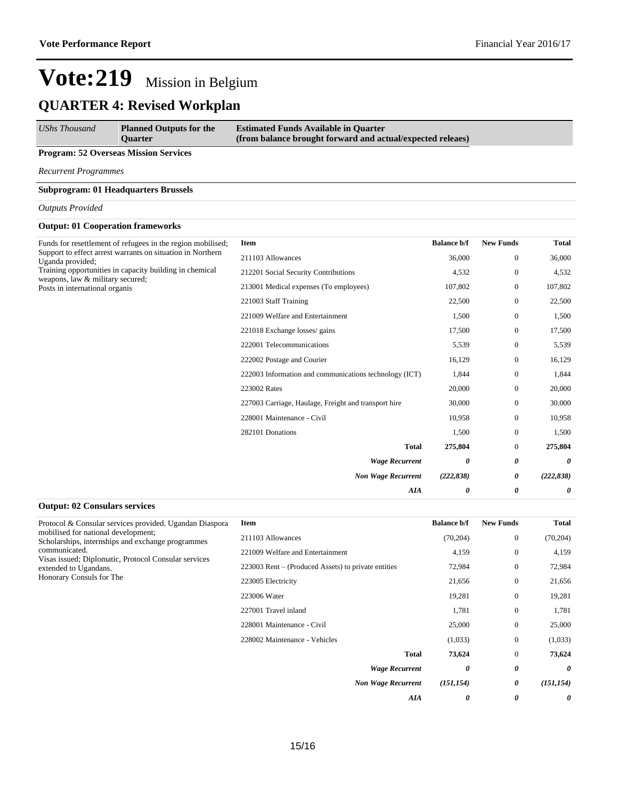*AIA 0 0 0*

# **Vote:219** Mission in Belgium

## **QUARTER 4: Revised Workplan**

| <b>Estimated Funds Available in Quarter</b><br><b>Planned Outputs for the</b><br>(from balance brought forward and actual/expected releaes)<br><b>Ouarter</b> | <b>UShs Thousand</b> |
|---------------------------------------------------------------------------------------------------------------------------------------------------------------|----------------------|
|---------------------------------------------------------------------------------------------------------------------------------------------------------------|----------------------|

#### **Program: 52 Overseas Mission Services**

*Recurrent Programmes*

#### **Subprogram: 01 Headquarters Brussels**

#### *Outputs Provided*

#### **Output: 01 Cooperation frameworks**

| Funds for resettlement of refugees in the region mobilised;<br>Support to effect arrest warrants on situation in Northern<br>Uganda provided;<br>Training opportunities in capacity building in chemical<br>weapons, law & military secured;<br>Posts in international organis | <b>Item</b>                                            | <b>Balance b/f</b> | <b>New Funds</b> | <b>Total</b> |
|--------------------------------------------------------------------------------------------------------------------------------------------------------------------------------------------------------------------------------------------------------------------------------|--------------------------------------------------------|--------------------|------------------|--------------|
|                                                                                                                                                                                                                                                                                | 211103 Allowances                                      | 36,000             | $\overline{0}$   | 36,000       |
|                                                                                                                                                                                                                                                                                | 212201 Social Security Contributions                   | 4,532              | $\overline{0}$   | 4,532        |
|                                                                                                                                                                                                                                                                                | 213001 Medical expenses (To employees)                 | 107,802            | $\overline{0}$   | 107,802      |
|                                                                                                                                                                                                                                                                                | 221003 Staff Training                                  | 22,500             | $\overline{0}$   | 22,500       |
|                                                                                                                                                                                                                                                                                | 221009 Welfare and Entertainment                       | 1,500              | $\overline{0}$   | 1,500        |
|                                                                                                                                                                                                                                                                                | 221018 Exchange losses/ gains                          | 17,500             | $\mathbf{0}$     | 17,500       |
|                                                                                                                                                                                                                                                                                | 222001 Telecommunications                              | 5,539              | $\overline{0}$   | 5,539        |
|                                                                                                                                                                                                                                                                                | 222002 Postage and Courier                             | 16,129             | $\overline{0}$   | 16,129       |
|                                                                                                                                                                                                                                                                                | 222003 Information and communications technology (ICT) | 1,844              | $\overline{0}$   | 1,844        |
|                                                                                                                                                                                                                                                                                | 223002 Rates                                           | 20,000             | $\Omega$         | 20,000       |
|                                                                                                                                                                                                                                                                                | 227003 Carriage, Haulage, Freight and transport hire   | 30,000             | $\overline{0}$   | 30,000       |
|                                                                                                                                                                                                                                                                                | 228001 Maintenance - Civil                             | 10,958             | $\overline{0}$   | 10,958       |
|                                                                                                                                                                                                                                                                                | 282101 Donations                                       | 1,500              | $\overline{0}$   | 1,500        |
|                                                                                                                                                                                                                                                                                | <b>Total</b>                                           | 275,804            | $\overline{0}$   | 275,804      |
|                                                                                                                                                                                                                                                                                | <b>Wage Recurrent</b>                                  | 0                  | 0                | 0            |
|                                                                                                                                                                                                                                                                                | <b>Non Wage Recurrent</b>                              | (222, 838)         | 0                | (222, 838)   |
|                                                                                                                                                                                                                                                                                | AIA                                                    | 0                  | 0                | 0            |

#### **Output: 02 Consulars services**

| Protocol & Consular services provided. Ugandan Diaspora<br>mobilised for national development:<br>Scholarships, internships and exchange programmes<br>communicated.<br>Visas issued; Diplomatic, Protocol Consular services<br>extended to Ugandans.<br>Honorary Consuls for The | Item                                                | <b>Balance b/f</b>     | <b>New Funds</b> | <b>Total</b> |
|-----------------------------------------------------------------------------------------------------------------------------------------------------------------------------------------------------------------------------------------------------------------------------------|-----------------------------------------------------|------------------------|------------------|--------------|
|                                                                                                                                                                                                                                                                                   | 211103 Allowances                                   | (70, 204)              | $\mathbf{0}$     | (70, 204)    |
|                                                                                                                                                                                                                                                                                   | 221009 Welfare and Entertainment                    | 4,159                  | $\mathbf{0}$     | 4,159        |
|                                                                                                                                                                                                                                                                                   | 223003 Rent – (Produced Assets) to private entities | 72,984                 | $\mathbf{0}$     | 72,984       |
|                                                                                                                                                                                                                                                                                   | 223005 Electricity                                  | 21,656                 | $\overline{0}$   | 21,656       |
|                                                                                                                                                                                                                                                                                   | 223006 Water                                        | 19,281                 | $\mathbf{0}$     | 19,281       |
|                                                                                                                                                                                                                                                                                   | 227001 Travel inland                                | 1,781                  | $\mathbf{0}$     | 1,781        |
|                                                                                                                                                                                                                                                                                   | 228001 Maintenance - Civil                          | 25,000                 | $\mathbf{0}$     | 25,000       |
|                                                                                                                                                                                                                                                                                   | 228002 Maintenance - Vehicles                       | (1,033)                | $\mathbf{0}$     | (1,033)      |
|                                                                                                                                                                                                                                                                                   |                                                     | 73,624<br><b>Total</b> | $\mathbf{0}$     | 73,624       |
|                                                                                                                                                                                                                                                                                   | <b>Wage Recurrent</b>                               | 0                      | 0                | 0            |
|                                                                                                                                                                                                                                                                                   | <b>Non Wage Recurrent</b>                           | (151, 154)             | 0                | (151, 154)   |